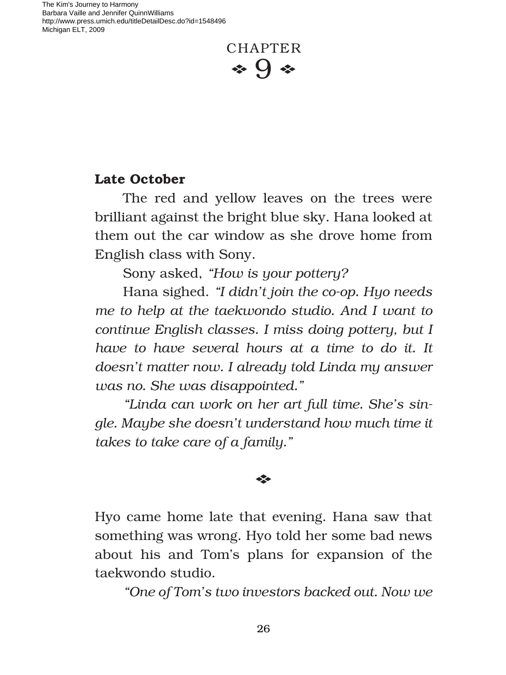The Kim's Journey to Harmony Barbara Vaille and Jennifer QuinnWilliams http://www.press.umich.edu/titleDetailDesc.do?id=1548496 Michigan ELT, 2009

# CHAPTER  $\bullet$  9  $\bullet$

## **Late October**

The red and yellow leaves on the trees were brilliant against the bright blue sky. Hana looked at them out the car window as she drove home from English class with Sony.

Sony asked, *"How is your pottery?* 

Hana sighed. *"I didn't join the co-op. Hyo needs me to help at the taekwondo studio. And I want to continue English classes. I miss doing pottery, but I have to have several hours at a time to do it. It doesn't matter now. I already told Linda my answer was no. She was disappointed."*

*"Linda can work on her art full time. She's single. Maybe she doesn't understand how much time it takes to take care of a family."*

### E

Hyo came home late that evening. Hana saw that something was wrong. Hyo told her some bad news about his and Tom's plans for expansion of the taekwondo studio.

*"One of Tom's two investors backed out. Now we*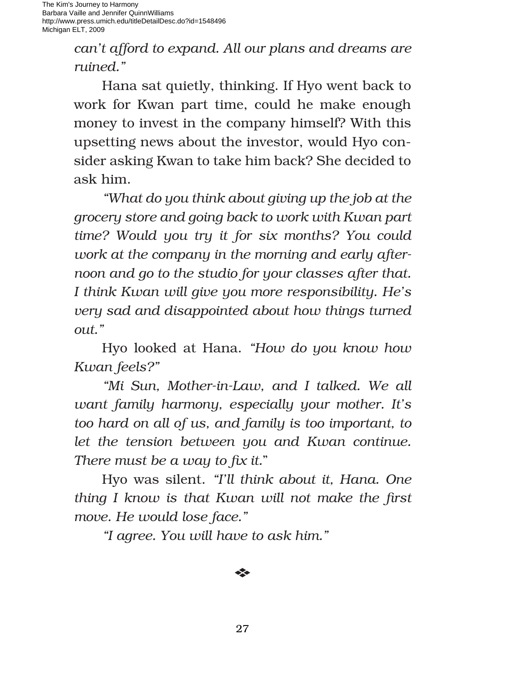The Kim's Journey to Harmony Barbara Vaille and Jennifer QuinnWilliams http://www.press.umich.edu/titleDetailDesc.do?id=1548496 Michigan ELT, 2009

> *can't afford to expand. All our plans and dreams are ruined."*

> Hana sat quietly, thinking. If Hyo went back to work for Kwan part time, could he make enough money to invest in the company himself? With this upsetting news about the investor, would Hyo consider asking Kwan to take him back? She decided to ask him.

> *"What do you think about giving up the job at the grocery store and going back to work with Kwan part time? Would you try it for six months? You could work at the company in the morning and early afternoon and go to the studio for your classes after that. I think Kwan will give you more responsibility. He's very sad and disappointed about how things turned out."*

> Hyo looked at Hana. *"How do you know how Kwan feels?"*

> *"Mi Sun, Mother-in-Law, and I talked. We all want family harmony, especially your mother. It's too hard on all of us, and family is too important, to let the tension between you and Kwan continue. There must be a way to fix it.*"

> Hyo was silent. *"I'll think about it, Hana. One thing I know is that Kwan will not make the first move. He would lose face."*

*"I agree. You will have to ask him."*

#### E